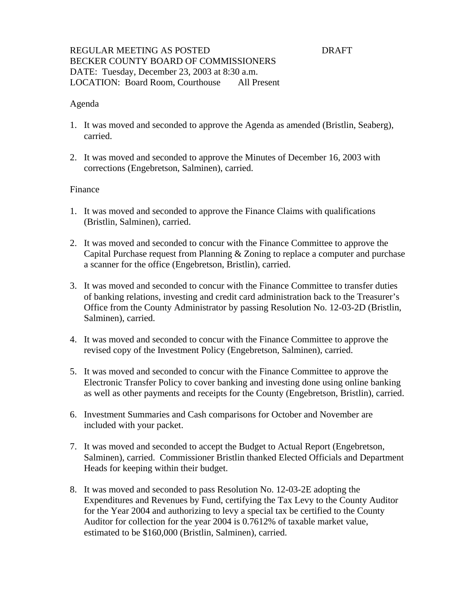## REGULAR MEETING AS POSTED **EXECUTES** DRAFT BECKER COUNTY BOARD OF COMMISSIONERS DATE: Tuesday, December 23, 2003 at 8:30 a.m. LOCATION: Board Room, Courthouse All Present

### Agenda

- 1. It was moved and seconded to approve the Agenda as amended (Bristlin, Seaberg), carried.
- 2. It was moved and seconded to approve the Minutes of December 16, 2003 with corrections (Engebretson, Salminen), carried.

### Finance

- 1. It was moved and seconded to approve the Finance Claims with qualifications (Bristlin, Salminen), carried.
- 2. It was moved and seconded to concur with the Finance Committee to approve the Capital Purchase request from Planning & Zoning to replace a computer and purchase a scanner for the office (Engebretson, Bristlin), carried.
- 3. It was moved and seconded to concur with the Finance Committee to transfer duties of banking relations, investing and credit card administration back to the Treasurer's Office from the County Administrator by passing Resolution No. 12-03-2D (Bristlin, Salminen), carried.
- 4. It was moved and seconded to concur with the Finance Committee to approve the revised copy of the Investment Policy (Engebretson, Salminen), carried.
- 5. It was moved and seconded to concur with the Finance Committee to approve the Electronic Transfer Policy to cover banking and investing done using online banking as well as other payments and receipts for the County (Engebretson, Bristlin), carried.
- 6. Investment Summaries and Cash comparisons for October and November are included with your packet.
- 7. It was moved and seconded to accept the Budget to Actual Report (Engebretson, Salminen), carried. Commissioner Bristlin thanked Elected Officials and Department Heads for keeping within their budget.
- 8. It was moved and seconded to pass Resolution No. 12-03-2E adopting the Expenditures and Revenues by Fund, certifying the Tax Levy to the County Auditor for the Year 2004 and authorizing to levy a special tax be certified to the County Auditor for collection for the year 2004 is 0.7612% of taxable market value, estimated to be \$160,000 (Bristlin, Salminen), carried.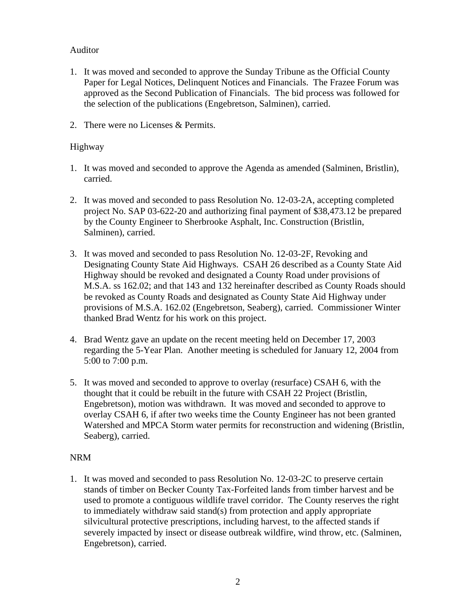# Auditor

- 1. It was moved and seconded to approve the Sunday Tribune as the Official County Paper for Legal Notices, Delinquent Notices and Financials. The Frazee Forum was approved as the Second Publication of Financials. The bid process was followed for the selection of the publications (Engebretson, Salminen), carried.
- 2. There were no Licenses & Permits.

# Highway

- 1. It was moved and seconded to approve the Agenda as amended (Salminen, Bristlin), carried.
- 2. It was moved and seconded to pass Resolution No. 12-03-2A, accepting completed project No. SAP 03-622-20 and authorizing final payment of \$38,473.12 be prepared by the County Engineer to Sherbrooke Asphalt, Inc. Construction (Bristlin, Salminen), carried.
- 3. It was moved and seconded to pass Resolution No. 12-03-2F, Revoking and Designating County State Aid Highways. CSAH 26 described as a County State Aid Highway should be revoked and designated a County Road under provisions of M.S.A. ss 162.02; and that 143 and 132 hereinafter described as County Roads should be revoked as County Roads and designated as County State Aid Highway under provisions of M.S.A. 162.02 (Engebretson, Seaberg), carried. Commissioner Winter thanked Brad Wentz for his work on this project.
- 4. Brad Wentz gave an update on the recent meeting held on December 17, 2003 regarding the 5-Year Plan. Another meeting is scheduled for January 12, 2004 from 5:00 to 7:00 p.m.
- 5. It was moved and seconded to approve to overlay (resurface) CSAH 6, with the thought that it could be rebuilt in the future with CSAH 22 Project (Bristlin, Engebretson), motion was withdrawn. It was moved and seconded to approve to overlay CSAH 6, if after two weeks time the County Engineer has not been granted Watershed and MPCA Storm water permits for reconstruction and widening (Bristlin, Seaberg), carried.

# NRM

1. It was moved and seconded to pass Resolution No. 12-03-2C to preserve certain stands of timber on Becker County Tax-Forfeited lands from timber harvest and be used to promote a contiguous wildlife travel corridor. The County reserves the right to immediately withdraw said stand(s) from protection and apply appropriate silvicultural protective prescriptions, including harvest, to the affected stands if severely impacted by insect or disease outbreak wildfire, wind throw, etc. (Salminen, Engebretson), carried.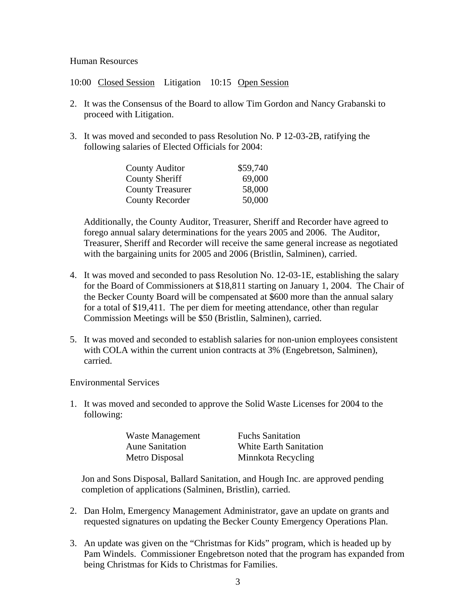### Human Resources

10:00 Closed Session Litigation 10:15 Open Session

- 2. It was the Consensus of the Board to allow Tim Gordon and Nancy Grabanski to proceed with Litigation.
- 3. It was moved and seconded to pass Resolution No. P 12-03-2B, ratifying the following salaries of Elected Officials for 2004:

| <b>County Auditor</b>   | \$59,740 |
|-------------------------|----------|
| <b>County Sheriff</b>   | 69,000   |
| <b>County Treasurer</b> | 58,000   |
| <b>County Recorder</b>  | 50,000   |

 Additionally, the County Auditor, Treasurer, Sheriff and Recorder have agreed to forego annual salary determinations for the years 2005 and 2006. The Auditor, Treasurer, Sheriff and Recorder will receive the same general increase as negotiated with the bargaining units for 2005 and 2006 (Bristlin, Salminen), carried.

- 4. It was moved and seconded to pass Resolution No. 12-03-1E, establishing the salary for the Board of Commissioners at \$18,811 starting on January 1, 2004. The Chair of the Becker County Board will be compensated at \$600 more than the annual salary for a total of \$19,411. The per diem for meeting attendance, other than regular Commission Meetings will be \$50 (Bristlin, Salminen), carried.
- 5. It was moved and seconded to establish salaries for non-union employees consistent with COLA within the current union contracts at 3% (Engebretson, Salminen), carried.

Environmental Services

1. It was moved and seconded to approve the Solid Waste Licenses for 2004 to the following:

| Waste Management       | <b>Fuchs Sanitation</b> |
|------------------------|-------------------------|
| <b>Aune Sanitation</b> | White Earth Sanitation  |
| Metro Disposal         | Minnkota Recycling      |

 Jon and Sons Disposal, Ballard Sanitation, and Hough Inc. are approved pending completion of applications (Salminen, Bristlin), carried.

- 2. Dan Holm, Emergency Management Administrator, gave an update on grants and requested signatures on updating the Becker County Emergency Operations Plan.
- 3. An update was given on the "Christmas for Kids" program, which is headed up by Pam Windels. Commissioner Engebretson noted that the program has expanded from being Christmas for Kids to Christmas for Families.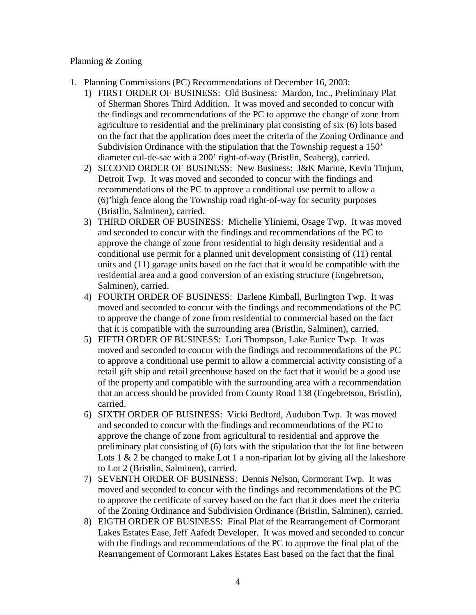## Planning & Zoning

- 1. Planning Commissions (PC) Recommendations of December 16, 2003:
	- 1) FIRST ORDER OF BUSINESS: Old Business: Mardon, Inc., Preliminary Plat of Sherman Shores Third Addition. It was moved and seconded to concur with the findings and recommendations of the PC to approve the change of zone from agriculture to residential and the preliminary plat consisting of six (6) lots based on the fact that the application does meet the criteria of the Zoning Ordinance and Subdivision Ordinance with the stipulation that the Township request a 150' diameter cul-de-sac with a 200' right-of-way (Bristlin, Seaberg), carried.
	- 2) SECOND ORDER OF BUSINESS: New Business: J&K Marine, Kevin Tinjum, Detroit Twp. It was moved and seconded to concur with the findings and recommendations of the PC to approve a conditional use permit to allow a (6)'high fence along the Township road right-of-way for security purposes (Bristlin, Salminen), carried.
	- 3) THIRD ORDER OF BUSINESS: Michelle Yliniemi, Osage Twp. It was moved and seconded to concur with the findings and recommendations of the PC to approve the change of zone from residential to high density residential and a conditional use permit for a planned unit development consisting of (11) rental units and (11) garage units based on the fact that it would be compatible with the residential area and a good conversion of an existing structure (Engebretson, Salminen), carried.
	- 4) FOURTH ORDER OF BUSINESS: Darlene Kimball, Burlington Twp. It was moved and seconded to concur with the findings and recommendations of the PC to approve the change of zone from residential to commercial based on the fact that it is compatible with the surrounding area (Bristlin, Salminen), carried.
	- 5) FIFTH ORDER OF BUSINESS: Lori Thompson, Lake Eunice Twp. It was moved and seconded to concur with the findings and recommendations of the PC to approve a conditional use permit to allow a commercial activity consisting of a retail gift ship and retail greenhouse based on the fact that it would be a good use of the property and compatible with the surrounding area with a recommendation that an access should be provided from County Road 138 (Engebretson, Bristlin), carried.
	- 6) SIXTH ORDER OF BUSINESS: Vicki Bedford, Audubon Twp. It was moved and seconded to concur with the findings and recommendations of the PC to approve the change of zone from agricultural to residential and approve the preliminary plat consisting of (6) lots with the stipulation that the lot line between Lots 1  $\&$  2 be changed to make Lot 1 a non-riparian lot by giving all the lakeshore to Lot 2 (Bristlin, Salminen), carried.
	- 7) SEVENTH ORDER OF BUSINESS: Dennis Nelson, Cormorant Twp. It was moved and seconded to concur with the findings and recommendations of the PC to approve the certificate of survey based on the fact that it does meet the criteria of the Zoning Ordinance and Subdivision Ordinance (Bristlin, Salminen), carried.
	- 8) EIGTH ORDER OF BUSINESS: Final Plat of the Rearrangement of Cormorant Lakes Estates Ease, Jeff Aafedt Developer. It was moved and seconded to concur with the findings and recommendations of the PC to approve the final plat of the Rearrangement of Cormorant Lakes Estates East based on the fact that the final